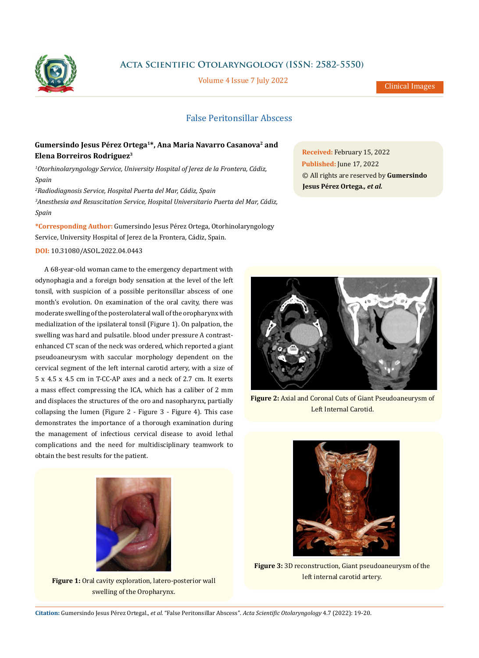

**Acta Scientific Otolaryngology (ISSN: 2582-5550)**

Volume 4 Issue 7 July 2022

Clinical Images

## False Peritonsillar Abscess

## **Gumersindo Jesus Pérez Ortega1\*, Ana Maria Navarro Casanova2 and Elena Borreiros Rodriguez3**

*1 Otorhinolaryngology Service, University Hospital of Jerez de la Frontera, Cádiz, Spain*

*2 Radiodiagnosis Service, Hospital Puerta del Mar, Cádiz, Spain 3 Anesthesia and Resuscitation Service, Hospital Universitario Puerta del Mar, Cádiz, Spain*

**\*Corresponding Author:** Gumersindo Jesus Pérez Ortega, Otorhinolaryngology Service, University Hospital of Jerez de la Frontera, Cádiz, Spain.

**DOI:** [10.31080/ASOL.2022.04.0443](http:// https://actascientific.com/ASOL/pdf/ASOL-04-0443.pdf)

A 68-year-old woman came to the emergency department with odynophagia and a foreign body sensation at the level of the left tonsil, with suspicion of a possible peritonsillar abscess of one month's evolution. On examination of the oral cavity, there was moderate swelling of the posterolateral wall of the oropharynx with medialization of the ipsilateral tonsil (Figure 1). On palpation, the swelling was hard and pulsatile. blood under pressure A contrastenhanced CT scan of the neck was ordered, which reported a giant pseudoaneurysm with saccular morphology dependent on the cervical segment of the left internal carotid artery, with a size of 5 x 4.5 x 4.5 cm in T-CC-AP axes and a neck of 2.7 cm. It exerts a mass effect compressing the ICA, which has a caliber of 2 mm and displaces the structures of the oro and nasopharynx, partially collapsing the lumen (Figure 2 - Figure 3 - Figure 4). This case demonstrates the importance of a thorough examination during the management of infectious cervical disease to avoid lethal complications and the need for multidisciplinary teamwork to obtain the best results for the patient.

**Received:** February 15, 2022 **Published:** June 17, 2022

**Jesus Pérez Ortega***., et al.*

© All rights are reserved by **Gumersindo** 

**Figure 2:** Axial and Coronal Cuts of Giant Pseudoaneurysm of Left Internal Carotid.



**Figure 1:** Oral cavity exploration, latero-posterior wall swelling of the Oropharynx.



**Figure 3:** 3D reconstruction, Giant pseudoaneurysm of the left internal carotid artery.

**Citation:** Gumersindo Jesus Pérez Ortegal*., et al.* "False Peritonsillar Abscess". *Acta Scientific Otolaryngology* 4.7 (2022): 19-20.